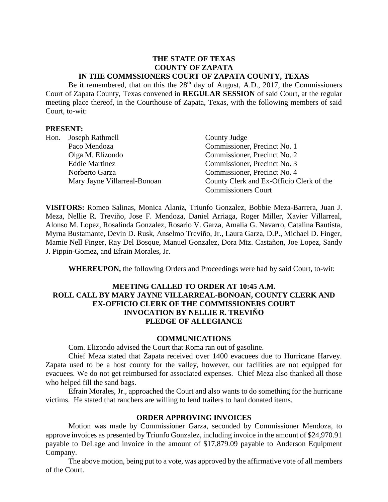### **THE STATE OF TEXAS COUNTY OF ZAPATA IN THE COMMSSIONERS COURT OF ZAPATA COUNTY, TEXAS**

Be it remembered, that on this the  $28<sup>th</sup>$  day of August, A.D., 2017, the Commissioners Court of Zapata County, Texas convened in **REGULAR SESSION** of said Court, at the regular meeting place thereof, in the Courthouse of Zapata, Texas, with the following members of said Court, to-wit:

#### **PRESENT:**

| Hon. | Joseph Rathmell              | County Judge                             |
|------|------------------------------|------------------------------------------|
|      | Paco Mendoza                 | Commissioner, Precinct No. 1             |
|      | Olga M. Elizondo             | Commissioner, Precinct No. 2             |
|      | <b>Eddie Martinez</b>        | Commissioner, Precinct No. 3             |
|      | Norberto Garza               | Commissioner, Precinct No. 4             |
|      | Mary Jayne Villarreal-Bonoan | County Clerk and Ex-Officio Clerk of the |
|      |                              | <b>Commissioners Court</b>               |

**VISITORS:** Romeo Salinas, Monica Alaniz, Triunfo Gonzalez, Bobbie Meza-Barrera, Juan J. Meza, Nellie R. Treviño, Jose F. Mendoza, Daniel Arriaga, Roger Miller, Xavier Villarreal, Alonso M. Lopez, Rosalinda Gonzalez, Rosario V. Garza, Amalia G. Navarro, Catalina Bautista, Myrna Bustamante, Devin D. Rusk, Anselmo Treviño, Jr., Laura Garza, D.P., Michael D. Finger, Mamie Nell Finger, Ray Del Bosque, Manuel Gonzalez, Dora Mtz. Castañon, Joe Lopez, Sandy J. Pippin-Gomez, and Efrain Morales, Jr.

**WHEREUPON,** the following Orders and Proceedings were had by said Court, to-wit:

### **MEETING CALLED TO ORDER AT 10:45 A.M. ROLL CALL BY MARY JAYNE VILLARREAL-BONOAN, COUNTY CLERK AND EX-OFFICIO CLERK OF THE COMMISSIONERS COURT INVOCATION BY NELLIE R. TREVIÑO PLEDGE OF ALLEGIANCE**

#### **COMMUNICATIONS**

Com. Elizondo advised the Court that Roma ran out of gasoline.

Chief Meza stated that Zapata received over 1400 evacuees due to Hurricane Harvey. Zapata used to be a host county for the valley, however, our facilities are not equipped for evacuees. We do not get reimbursed for associated expenses. Chief Meza also thanked all those who helped fill the sand bags.

Efrain Morales, Jr., approached the Court and also wants to do something for the hurricane victims. He stated that ranchers are willing to lend trailers to haul donated items.

#### **ORDER APPROVING INVOICES**

Motion was made by Commissioner Garza, seconded by Commissioner Mendoza, to approve invoices as presented by Triunfo Gonzalez, including invoice in the amount of \$24,970.91 payable to DeLage and invoice in the amount of \$17,879.09 payable to Anderson Equipment Company.

The above motion, being put to a vote, was approved by the affirmative vote of all members of the Court.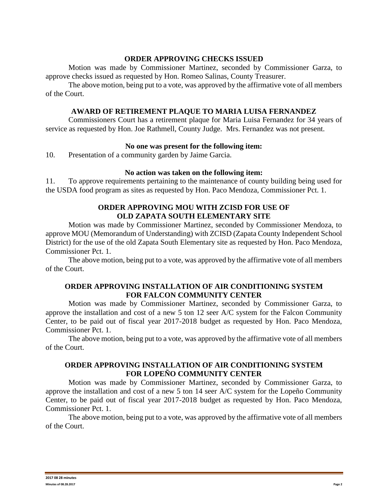### **ORDER APPROVING CHECKS ISSUED**

Motion was made by Commissioner Martinez, seconded by Commissioner Garza, to approve checks issued as requested by Hon. Romeo Salinas, County Treasurer.

The above motion, being put to a vote, was approved by the affirmative vote of all members of the Court.

#### **AWARD OF RETIREMENT PLAQUE TO MARIA LUISA FERNANDEZ**

Commissioners Court has a retirement plaque for Maria Luisa Fernandez for 34 years of service as requested by Hon. Joe Rathmell, County Judge. Mrs. Fernandez was not present.

#### **No one was present for the following item:**

10. Presentation of a community garden by Jaime Garcia.

#### **No action was taken on the following item:**

11. To approve requirements pertaining to the maintenance of county building being used for the USDA food program as sites as requested by Hon. Paco Mendoza, Commissioner Pct. 1.

## **ORDER APPROVING MOU WITH ZCISD FOR USE OF OLD ZAPATA SOUTH ELEMENTARY SITE**

Motion was made by Commissioner Martinez, seconded by Commissioner Mendoza, to approve MOU (Memorandum of Understanding) with ZCISD (Zapata County Independent School District) for the use of the old Zapata South Elementary site as requested by Hon. Paco Mendoza, Commissioner Pct. 1.

The above motion, being put to a vote, was approved by the affirmative vote of all members of the Court.

## **ORDER APPROVING INSTALLATION OF AIR CONDITIONING SYSTEM FOR FALCON COMMUNITY CENTER**

Motion was made by Commissioner Martinez, seconded by Commissioner Garza, to approve the installation and cost of a new 5 ton 12 seer A/C system for the Falcon Community Center, to be paid out of fiscal year 2017-2018 budget as requested by Hon. Paco Mendoza, Commissioner Pct. 1.

The above motion, being put to a vote, was approved by the affirmative vote of all members of the Court.

# **ORDER APPROVING INSTALLATION OF AIR CONDITIONING SYSTEM FOR LOPEÑO COMMUNITY CENTER**

Motion was made by Commissioner Martinez, seconded by Commissioner Garza, to approve the installation and cost of a new 5 ton 14 seer A/C system for the Lopeño Community Center, to be paid out of fiscal year 2017-2018 budget as requested by Hon. Paco Mendoza, Commissioner Pct. 1.

The above motion, being put to a vote, was approved by the affirmative vote of all members of the Court.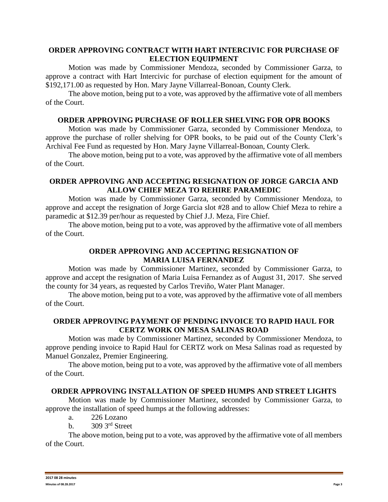## **ORDER APPROVING CONTRACT WITH HART INTERCIVIC FOR PURCHASE OF ELECTION EQUIPMENT**

Motion was made by Commissioner Mendoza, seconded by Commissioner Garza, to approve a contract with Hart Intercivic for purchase of election equipment for the amount of \$192,171.00 as requested by Hon. Mary Jayne Villarreal-Bonoan, County Clerk.

The above motion, being put to a vote, was approved by the affirmative vote of all members of the Court.

### **ORDER APPROVING PURCHASE OF ROLLER SHELVING FOR OPR BOOKS**

Motion was made by Commissioner Garza, seconded by Commissioner Mendoza, to approve the purchase of roller shelving for OPR books, to be paid out of the County Clerk's Archival Fee Fund as requested by Hon. Mary Jayne Villarreal-Bonoan, County Clerk.

The above motion, being put to a vote, was approved by the affirmative vote of all members of the Court.

### **ORDER APPROVING AND ACCEPTING RESIGNATION OF JORGE GARCIA AND ALLOW CHIEF MEZA TO REHIRE PARAMEDIC**

Motion was made by Commissioner Garza, seconded by Commissioner Mendoza, to approve and accept the resignation of Jorge Garcia slot #28 and to allow Chief Meza to rehire a paramedic at \$12.39 per/hour as requested by Chief J.J. Meza, Fire Chief.

The above motion, being put to a vote, was approved by the affirmative vote of all members of the Court.

## **ORDER APPROVING AND ACCEPTING RESIGNATION OF MARIA LUISA FERNANDEZ**

Motion was made by Commissioner Martinez, seconded by Commissioner Garza, to approve and accept the resignation of Maria Luisa Fernandez as of August 31, 2017. She served the county for 34 years, as requested by Carlos Treviño, Water Plant Manager.

The above motion, being put to a vote, was approved by the affirmative vote of all members of the Court.

# **ORDER APPROVING PAYMENT OF PENDING INVOICE TO RAPID HAUL FOR CERTZ WORK ON MESA SALINAS ROAD**

Motion was made by Commissioner Martinez, seconded by Commissioner Mendoza, to approve pending invoice to Rapid Haul for CERTZ work on Mesa Salinas road as requested by Manuel Gonzalez, Premier Engineering.

The above motion, being put to a vote, was approved by the affirmative vote of all members of the Court.

### **ORDER APPROVING INSTALLATION OF SPEED HUMPS AND STREET LIGHTS**

Motion was made by Commissioner Martinez, seconded by Commissioner Garza, to approve the installation of speed humps at the following addresses:

- a. 226 Lozano
- b.  $309\,3^{\text{rd}}$  Street

The above motion, being put to a vote, was approved by the affirmative vote of all members of the Court.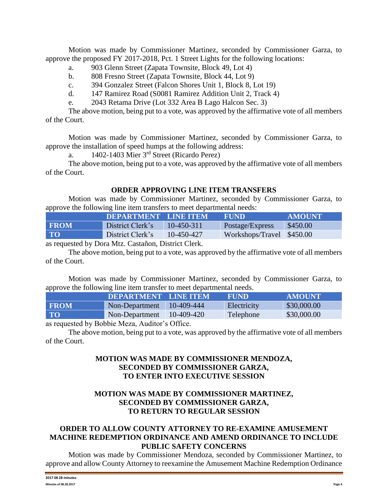Motion was made by Commissioner Martinez, seconded by Commissioner Garza, to approve the proposed FY 2017-2018, Pct. 1 Street Lights for the following locations:

- a. 903 Glenn Street (Zapata Townsite, Block 49, Lot 4)
- b. 808 Fresno Street (Zapata Townsite, Block 44, Lot 9)
- c. 394 Gonzalez Street (Falcon Shores Unit 1, Block 8, Lot 19)
- d. 147 Ramirez Road (S0081 Ramirez Addition Unit 2, Track 4)
- e. 2043 Retama Drive (Lot 332 Area B Lago Halcon Sec. 3)

The above motion, being put to a vote, was approved by the affirmative vote of all members of the Court.

Motion was made by Commissioner Martinez, seconded by Commissioner Garza, to approve the installation of speed humps at the following address:

a.  $1402-1403$  Mier  $3<sup>rd</sup>$  Street (Ricardo Perez)

The above motion, being put to a vote, was approved by the affirmative vote of all members of the Court.

### **ORDER APPROVING LINE ITEM TRANSFERS**

Motion was made by Commissioner Martinez, seconded by Commissioner Garza, to approve the following line item transfers to meet departmental needs:

|             | <b>DEPARTMENT LINE ITEM</b> |            | <b>FUND</b>               | <b>AMOUNT</b> |
|-------------|-----------------------------|------------|---------------------------|---------------|
| <b>FROM</b> | District Clerk's            | 10-450-311 | Postage/Express           | \$450.00      |
| <b>TO</b>   | District Clerk's            | 10-450-427 | Workshops/Travel \$450.00 |               |

as requested by Dora Mtz. Castañon, District Clerk.

The above motion, being put to a vote, was approved by the affirmative vote of all members of the Court.

Motion was made by Commissioner Martinez, seconded by Commissioner Garza, to approve the following line item transfer to meet departmental needs.

| .           |                      |            |             |               |  |  |
|-------------|----------------------|------------|-------------|---------------|--|--|
|             | DEPARTMENT LINE ITEM |            | <b>FUND</b> | <b>AMOUNT</b> |  |  |
| <b>FROM</b> | Non-Department       | 10-409-444 | Electricity | \$30,000.00   |  |  |
| <b>TO</b>   | Non-Department       | 10-409-420 | Telephone   | \$30,000.00   |  |  |
|             |                      |            |             |               |  |  |

as requested by Bobbie Meza, Auditor's Office.

The above motion, being put to a vote, was approved by the affirmative vote of all members of the Court.

## **MOTION WAS MADE BY COMMISSIONER MENDOZA, SECONDED BY COMMISSIONER GARZA, TO ENTER INTO EXECUTIVE SESSION**

# **MOTION WAS MADE BY COMMISSIONER MARTINEZ, SECONDED BY COMMISSIONER GARZA, TO RETURN TO REGULAR SESSION**

## **ORDER TO ALLOW COUNTY ATTORNEY TO RE-EXAMINE AMUSEMENT MACHINE REDEMPTION ORDINANCE AND AMEND ORDINANCE TO INCLUDE PUBLIC SAFETY CONCERNS**

Motion was made by Commissioner Mendoza, seconded by Commissioner Martinez, to approve and allow County Attorney to reexamine the Amusement Machine Redemption Ordinance